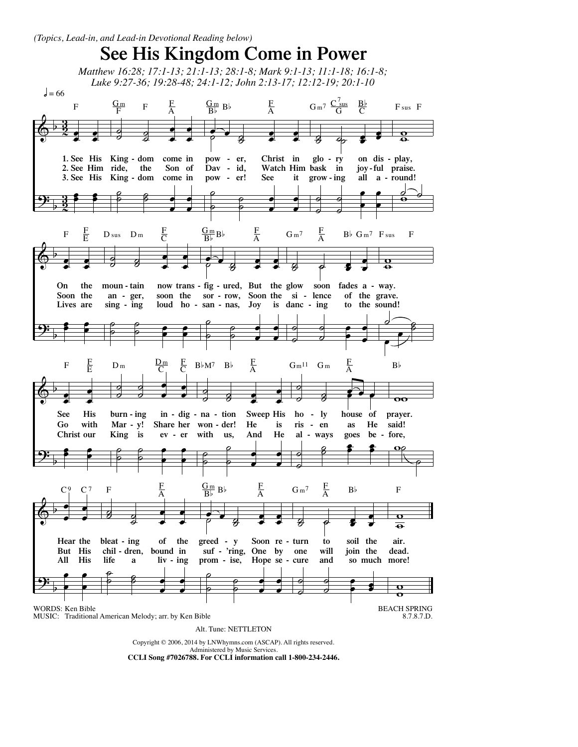## **See His Kingdom Come in Power**

*Matthew 16:28; 17:1-13; 21:1-13; 28:1-8; Mark 9:1-13; 11:1-18; 16:1-8; Luke 9:27-36; 19:28-48; 24:1-12; John 2:13-17; 12:12-19; 20:1-10*



Administered by Music Services. **CCLI Song #7026788. For CCLI information call 1-800-234-2446.**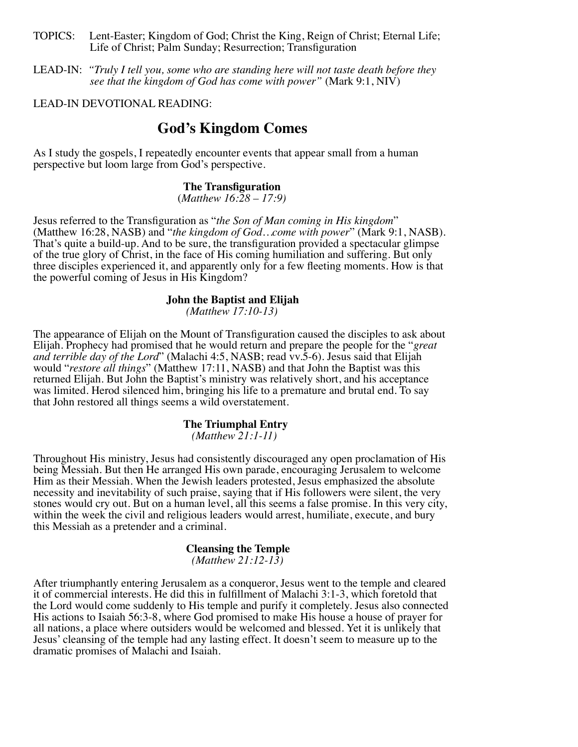- TOPICS: Lent-Easter; Kingdom of God; Christ the King, Reign of Christ; Eternal Life; Life of Christ; Palm Sunday; Resurrection; Transfiguration
- LEAD-IN: *"Truly I tell you, some who are standing here will not taste death before they see that the kingdom of God has come with power"* (Mark 9:1, NIV)

### LEAD-IN DEVOTIONAL READING:

### **God's Kingdom Comes**

As I study the gospels, I repeatedly encounter events that appear small from a human perspective but loom large from God's perspective.

# **The Transfiguration** (*Matthew 16:28 – 17:9)*

Jesus referred to the Transfiguration as "*the Son of Man coming in His kingdom*" (Matthew 16:28, NASB) and "*the kingdom of God…come with power*" (Mark 9:1, NASB). That's quite a build-up. And to be sure, the transfiguration provided a spectacular glimpse of the true glory of Christ, in the face of His coming humiliation and suffering. But only three disciples experienced it, and apparently only for a few fleeting moments. How is that the powerful coming of Jesus in His Kingdom?

## **John the Baptist and Elijah** *(Matthew 17:10-13)*

The appearance of Elijah on the Mount of Transfiguration caused the disciples to ask about Elijah. Prophecy had promised that he would return and prepare the people for the "*great and terrible day of the Lord*" (Malachi 4:5, NASB; read vv.5-6). Jesus said that Elijah would "*restore all things*" (Matthew 17:11, NASB) and that John the Baptist was this returned Elijah. But John the Baptist's ministry was relatively short, and his acceptance was limited. Herod silenced him, bringing his life to a premature and brutal end. To say that John restored all things seems a wild overstatement.

### **The Triumphal Entry**

*(Matthew 21:1-11)*

Throughout His ministry, Jesus had consistently discouraged any open proclamation of His being Messiah. But then He arranged His own parade, encouraging Jerusalem to welcome Him as their Messiah. When the Jewish leaders protested, Jesus emphasized the absolute necessity and inevitability of such praise, saying that if His followers were silent, the very stones would cry out. But on a human level, all this seems a false promise. In this very city, within the week the civil and religious leaders would arrest, humiliate, execute, and bury this Messiah as a pretender and a criminal.

#### **Cleansing the Temple**  *(Matthew 21:12-13)*

After triumphantly entering Jerusalem as a conqueror, Jesus went to the temple and cleared it of commercial interests. He did this in fulfillment of Malachi 3:1-3, which foretold that the Lord would come suddenly to His temple and purify it completely. Jesus also connected His actions to Isaiah 56:3-8, where God promised to make His house a house of prayer for all nations, a place where outsiders would be welcomed and blessed. Yet it is unlikely that Jesus' cleansing of the temple had any lasting effect. It doesn't seem to measure up to the dramatic promises of Malachi and Isaiah.